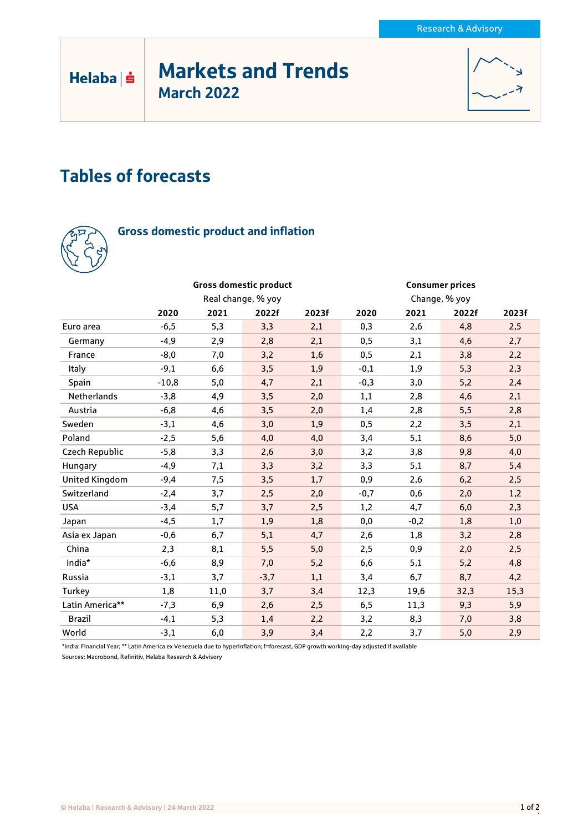# Markets and Trends March 2022



# Tables of forecasts



 $Helaba| \dot{ }$ 

## Gross domestic product and inflation

|                       |                    |      | <b>Gross domestic product</b> |       | <b>Consumer prices</b> |        |       |       |
|-----------------------|--------------------|------|-------------------------------|-------|------------------------|--------|-------|-------|
|                       | Real change, % yoy |      |                               |       | Change, % yoy          |        |       |       |
|                       | 2020               | 2021 | 2022f                         | 2023f | 2020                   | 2021   | 2022f | 2023f |
| Euro area             | $-6,5$             | 5,3  | 3,3                           | 2,1   | 0,3                    | 2,6    | 4,8   | 2,5   |
| Germany               | $-4,9$             | 2,9  | 2,8                           | 2,1   | 0,5                    | 3,1    | 4,6   | 2,7   |
| France                | $-8,0$             | 7,0  | 3,2                           | 1,6   | 0,5                    | 2,1    | 3,8   | 2,2   |
| Italy                 | $-9,1$             | 6,6  | 3,5                           | 1,9   | $-0,1$                 | 1,9    | 5,3   | 2,3   |
| Spain                 | $-10,8$            | 5,0  | 4,7                           | 2,1   | $-0,3$                 | 3,0    | 5,2   | 2,4   |
| <b>Netherlands</b>    | $-3,8$             | 4,9  | 3,5                           | 2,0   | 1,1                    | 2,8    | 4,6   | 2,1   |
| Austria               | $-6,8$             | 4,6  | 3,5                           | 2,0   | 1,4                    | 2,8    | 5,5   | 2,8   |
| Sweden                | $-3,1$             | 4,6  | 3,0                           | 1,9   | 0,5                    | 2,2    | 3,5   | 2,1   |
| Poland                | $-2,5$             | 5,6  | 4,0                           | 4,0   | 3,4                    | 5,1    | 8,6   | 5,0   |
| Czech Republic        | $-5,8$             | 3,3  | 2,6                           | 3,0   | 3,2                    | 3,8    | 9,8   | 4,0   |
| Hungary               | $-4,9$             | 7,1  | 3,3                           | 3,2   | 3,3                    | 5,1    | 8,7   | 5,4   |
| <b>United Kingdom</b> | $-9,4$             | 7,5  | 3,5                           | 1,7   | 0,9                    | 2,6    | 6,2   | 2,5   |
| Switzerland           | $-2,4$             | 3,7  | 2,5                           | 2,0   | $-0,7$                 | 0,6    | 2,0   | 1,2   |
| <b>USA</b>            | $-3,4$             | 5,7  | 3,7                           | 2,5   | 1,2                    | 4,7    | 6,0   | 2,3   |
| Japan                 | $-4,5$             | 1,7  | 1,9                           | 1,8   | 0,0                    | $-0,2$ | 1,8   | 1,0   |
| Asia ex Japan         | $-0,6$             | 6,7  | 5,1                           | 4,7   | 2,6                    | 1,8    | 3,2   | 2,8   |
| China                 | 2,3                | 8,1  | 5,5                           | 5,0   | 2,5                    | 0,9    | 2,0   | 2,5   |
| India*                | $-6,6$             | 8,9  | 7,0                           | 5,2   | 6,6                    | 5,1    | 5,2   | 4,8   |
| Russia                | $-3,1$             | 3,7  | $-3,7$                        | 1,1   | 3,4                    | 6,7    | 8,7   | 4,2   |
| Turkey                | 1,8                | 11,0 | 3,7                           | 3,4   | 12,3                   | 19,6   | 32,3  | 15,3  |
| Latin America**       | $-7,3$             | 6,9  | 2,6                           | 2,5   | 6, 5                   | 11,3   | 9,3   | 5,9   |
| <b>Brazil</b>         | $-4,1$             | 5,3  | 1,4                           | 2,2   | 3,2                    | 8,3    | 7,0   | 3,8   |
| World                 | $-3,1$             | 6,0  | 3,9                           | 3,4   | 2,2                    | 3,7    | 5,0   | 2,9   |

\*India: Financial Year; \*\* Latin America ex Venezuela due to hyperinflation; f=forecast, GDP growth working-day adjusted if available

Sources: Macrobond, Refinitiv, Helaba Research & Advisory